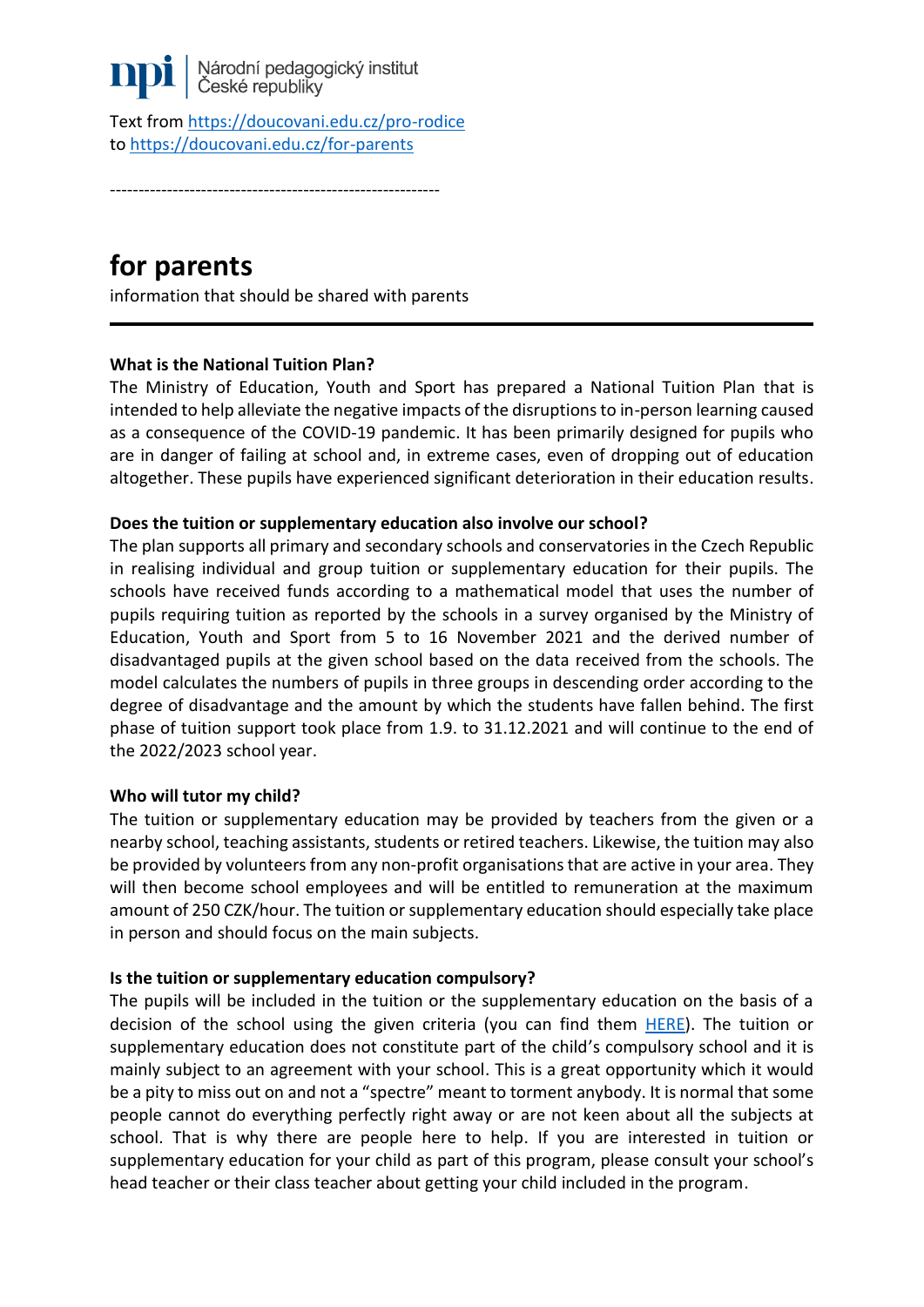

Text from <https://doucovani.edu.cz/pro-rodice> to <https://doucovani.edu.cz/for-parents>

----------------------------------------------------------

# **for parents**

information that should be shared with parents

## **What is the National Tuition Plan?**

The Ministry of Education, Youth and Sport has prepared a National Tuition Plan that is intended to help alleviate the negative impacts of the disruptions to in-person learning caused as a consequence of the COVID-19 pandemic. It has been primarily designed for pupils who are in danger of failing at school and, in extreme cases, even of dropping out of education altogether. These pupils have experienced significant deterioration in their education results.

#### **Does the tuition or supplementary education also involve our school?**

The plan supports all primary and secondary schools and conservatories in the Czech Republic in realising individual and group tuition or supplementary education for their pupils. The schools have received funds according to a mathematical model that uses the number of pupils requiring tuition as reported by the schools in a survey organised by the Ministry of Education, Youth and Sport from 5 to 16 November 2021 and the derived number of disadvantaged pupils at the given school based on the data received from the schools. The model calculates the numbers of pupils in three groups in descending order according to the degree of disadvantage and the amount by which the students have fallen behind. The first phase of tuition support took place from 1.9. to 31.12.2021 and will continue to the end of the 2022/2023 school year.

#### **Who will tutor my child?**

The tuition or supplementary education may be provided by teachers from the given or a nearby school, teaching assistants, students or retired teachers. Likewise, the tuition may also be provided by volunteers from any non-profit organisations that are active in your area. They will then become school employees and will be entitled to remuneration at the maximum amount of 250 CZK/hour. The tuition or supplementary education should especially take place in person and should focus on the main subjects.

#### **Is the tuition or supplementary education compulsory?**

The pupils will be included in the tuition or the supplementary education on the basis of a decision of the school using the given criteria (you can find them [HERE\)](https://doucovani.edu.cz/jak-na-to-ve-skole#kriteria). The tuition or supplementary education does not constitute part of the child's compulsory school and it is mainly subject to an agreement with your school. This is a great opportunity which it would be a pity to miss out on and not a "spectre" meant to torment anybody. It is normal that some people cannot do everything perfectly right away or are not keen about all the subjects at school. That is why there are people here to help. If you are interested in tuition or supplementary education for your child as part of this program, please consult your school's head teacher or their class teacher about getting your child included in the program.